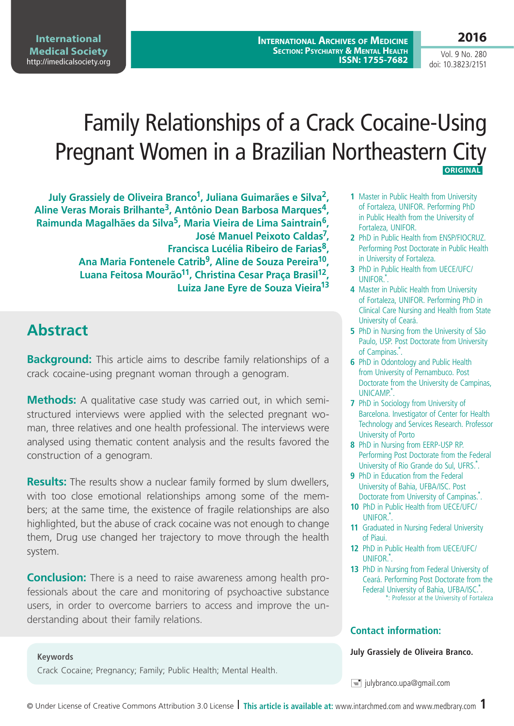**International Archives of Medicine Section: Psychiatry & Mental Health ISSN: 1755-7682**

Vol. 9 No. 280 doi: 10.3823/2151

# Family Relationships of a Crack Cocaine-Using Pregnant Women in a Brazilian Northeastern City  **ORIGINAL**

**July Grassiely de Oliveira Branco1, Juliana Guimarães e Silva2, Aline Veras Morais Brilhante3, Antônio Dean Barbosa Marques4, Raimunda Magalhães da Silva5, Maria Vieira de Lima Saintrain6, José Manuel Peixoto Caldas7, Francisca Lucélia Ribeiro de Farias8, Ana Maria Fontenele Catrib9, Aline de Souza Pereira10, Luana Feitosa Mourão11, Christina Cesar Praça Brasil12, Luiza Jane Eyre de Souza Vieira13**

# **Abstract**

**Keywords**

**Background:** This article aims to describe family relationships of a crack cocaine-using pregnant woman through a genogram.

**Methods:** A qualitative case study was carried out, in which semistructured interviews were applied with the selected pregnant woman, three relatives and one health professional. The interviews were analysed using thematic content analysis and the results favored the construction of a genogram.

**Results:** The results show a nuclear family formed by slum dwellers, with too close emotional relationships among some of the members; at the same time, the existence of fragile relationships are also highlighted, but the abuse of crack cocaine was not enough to change them, Drug use changed her trajectory to move through the health system.

**Conclusion:** There is a need to raise awareness among health professionals about the care and monitoring of psychoactive substance users, in order to overcome barriers to access and improve the understanding about their family relations.

Crack Cocaine; Pregnancy; Family; Public Health; Mental Health.

#### **1** Master in Public Health from University of Fortaleza, UNIFOR. Performing PhD in Public Health from the University of Fortaleza, UNIFOR.

- **2** PhD in Public Health from ENSP/FIOCRUZ. Performing Post Doctorate in Public Health in University of Fortaleza.
- **3** PhD in Public Health from UECE/UFC/ UNIFOR.\* .
- **4** Master in Public Health from University of Fortaleza, UNIFOR. Performing PhD in Clinical Care Nursing and Health from State University of Ceará.
- **5** PhD in Nursing from the University of São Paulo, USP. Post Doctorate from University of Campinas.\*.
- **6** PhD in Odontology and Public Health from University of Pernambuco. Post Doctorate from the University de Campinas, UNICAMP.\* .
- **7** PhD in Sociology from University of Barcelona. Investigator of Center for Health Technology and Services Research. Professor University of Porto
- **8** PhD in Nursing from EERP-USP RP. Performing Post Doctorate from the Federal University of Rio Grande do Sul, UFRS.<sup>\*</sup>.
- **9** PhD in Education from the Federal University of Bahia, UFBA/ISC. Post Doctorate from University of Campinas.<sup>\*</sup>.
- **10** PhD in Public Health from UECE/UFC/ UNIFOR.<sup>\*</sup>.
- **11** Graduated in Nursing Federal University of Piaui.
- **12** PhD in Public Health from UECE/UFC/ UNIFOR.\* .
- **13** PhD in Nursing from Federal University of Ceará. Performing Post Doctorate from the Federal University of Bahia, UFBA/ISC.\*. \*: Professor at the University of Fortaleza

### **Contact information:**

**July Grassiely de Oliveira Branco.**

 $\equiv$  julybranco.upa@gmail.com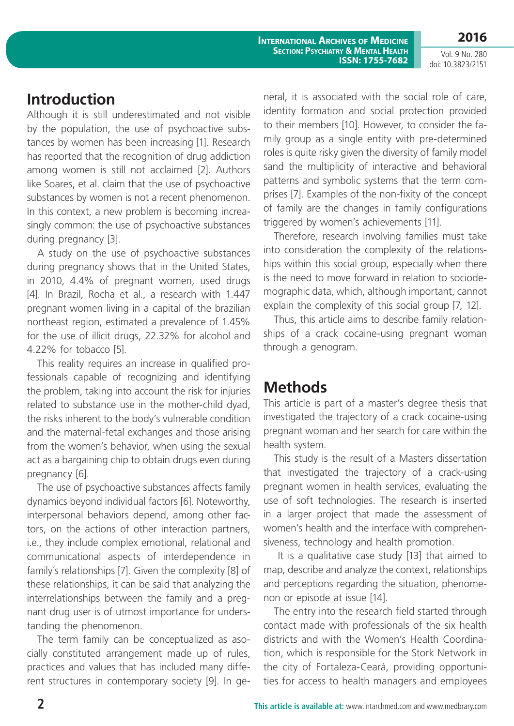**2016**

Vol. 9 No. 280 doi: 10.3823/2151

## **Introduction**

Although it is still underestimated and not visible by the population, the use of psychoactive substances by women has been increasing [1]. Research has reported that the recognition of drug addiction among women is still not acclaimed [2]. Authors like Soares, et al. claim that the use of psychoactive substances by women is not a recent phenomenon. In this context, a new problem is becoming increasingly common: the use of psychoactive substances during pregnancy [3].

A study on the use of psychoactive substances during pregnancy shows that in the United States, in 2010, 4.4% of pregnant women, used drugs [4]. In Brazil, Rocha et al., a research with 1.447 pregnant women living in a capital of the brazilian northeast region, estimated a prevalence of 1.45% for the use of illicit drugs, 22.32% for alcohol and 4.22% for tobacco [5].

This reality requires an increase in qualified professionals capable of recognizing and identifying the problem, taking into account the risk for injuries related to substance use in the mother-child dyad, the risks inherent to the body's vulnerable condition and the maternal-fetal exchanges and those arising from the women's behavior, when using the sexual act as a bargaining chip to obtain drugs even during pregnancy [6].

The use of psychoactive substances affects family dynamics beyond individual factors [6]. Noteworthy, interpersonal behaviors depend, among other factors, on the actions of other interaction partners, i.e., they include complex emotional, relational and communicational aspects of interdependence in family´s relationships [7]. Given the complexity [8] of these relationships, it can be said that analyzing the interrelationships between the family and a pregnant drug user is of utmost importance for understanding the phenomenon.

The term family can be conceptualized as asocially constituted arrangement made up of rules, practices and values that has included many different structures in contemporary society [9]. In general, it is associated with the social role of care, identity formation and social protection provided to their members [10]. However, to consider the family group as a single entity with pre-determined roles is quite risky given the diversity of family model sand the multiplicity of interactive and behavioral patterns and symbolic systems that the term comprises [7]. Examples of the non-fixity of the concept of family are the changes in family configurations triggered by women's achievements [11].

Therefore, research involving families must take into consideration the complexity of the relationships within this social group, especially when there is the need to move forward in relation to sociodemographic data, which, although important, cannot explain the complexity of this social group [7, 12].

Thus, this article aims to describe family relationships of a crack cocaine-using pregnant woman through a genogram.

# **Methods**

This article is part of a master's degree thesis that investigated the trajectory of a crack cocaine-using pregnant woman and her search for care within the health system.

This study is the result of a Masters dissertation that investigated the trajectory of a crack-using pregnant women in health services, evaluating the use of soft technologies. The research is inserted in a larger project that made the assessment of women's health and the interface with comprehensiveness, technology and health promotion.

 It is a qualitative case study [13] that aimed to map, describe and analyze the context, relationships and perceptions regarding the situation, phenomenon or episode at issue [14].

The entry into the research field started through contact made with professionals of the six health districts and with the Women's Health Coordination, which is responsible for the Stork Network in the city of Fortaleza-Ceará, providing opportunities for access to health managers and employees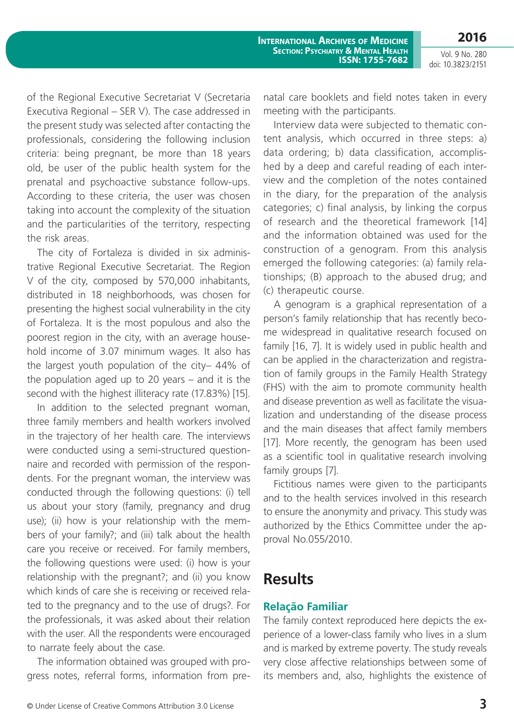of the Regional Executive Secretariat V (Secretaria Executiva Regional – SER V). The case addressed in the present study was selected after contacting the professionals, considering the following inclusion criteria: being pregnant, be more than 18 years old, be user of the public health system for the prenatal and psychoactive substance follow-ups. According to these criteria, the user was chosen taking into account the complexity of the situation and the particularities of the territory, respecting the risk areas.

The city of Fortaleza is divided in six administrative Regional Executive Secretariat. The Region V of the city, composed by 570,000 inhabitants, distributed in 18 neighborhoods, was chosen for presenting the highest social vulnerability in the city of Fortaleza. It is the most populous and also the poorest region in the city, with an average household income of 3.07 minimum wages. It also has the largest youth population of the city– 44% of the population aged up to 20 years – and it is the second with the highest illiteracy rate (17.83%) [15].

In addition to the selected pregnant woman, three family members and health workers involved in the trajectory of her health care. The interviews were conducted using a semi-structured questionnaire and recorded with permission of the respondents. For the pregnant woman, the interview was conducted through the following questions: (i) tell us about your story (family, pregnancy and drug use); (ii) how is your relationship with the members of your family?; and (iii) talk about the health care you receive or received. For family members, the following questions were used: (i) how is your relationship with the pregnant?; and (ii) you know which kinds of care she is receiving or received related to the pregnancy and to the use of drugs?. For the professionals, it was asked about their relation with the user. All the respondents were encouraged to narrate feely about the case.

The information obtained was grouped with progress notes, referral forms, information from prenatal care booklets and field notes taken in every meeting with the participants.

Interview data were subjected to thematic content analysis, which occurred in three steps: a) data ordering; b) data classification, accomplished by a deep and careful reading of each interview and the completion of the notes contained in the diary, for the preparation of the analysis categories; c) final analysis, by linking the corpus of research and the theoretical framework [14] and the information obtained was used for the construction of a genogram. From this analysis emerged the following categories: (a) family relationships; (B) approach to the abused drug; and (c) therapeutic course.

A genogram is a graphical representation of a person's family relationship that has recently become widespread in qualitative research focused on family [16, 7]. It is widely used in public health and can be applied in the characterization and registration of family groups in the Family Health Strategy (FHS) with the aim to promote community health and disease prevention as well as facilitate the visualization and understanding of the disease process and the main diseases that affect family members [17]. More recently, the genogram has been used as a scientific tool in qualitative research involving family groups [7].

Fictitious names were given to the participants and to the health services involved in this research to ensure the anonymity and privacy. This study was authorized by the Ethics Committee under the approval No.055/2010.

### **Results**

### **Relação Familiar**

The family context reproduced here depicts the experience of a lower-class family who lives in a slum and is marked by extreme poverty. The study reveals very close affective relationships between some of its members and, also, highlights the existence of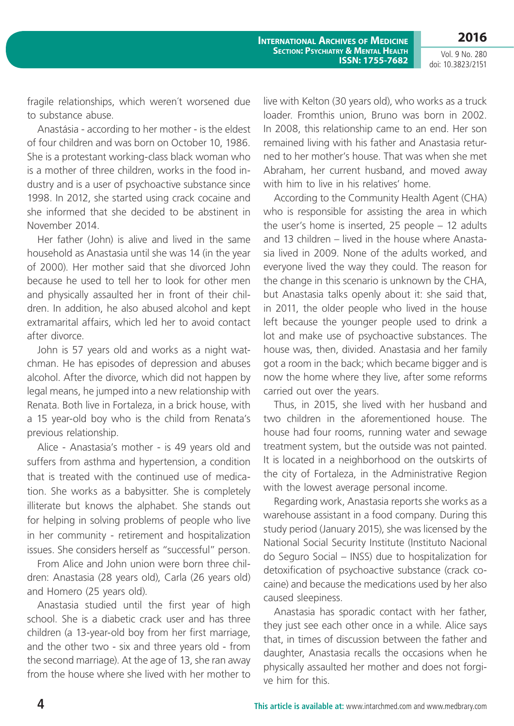**2016**

**International Archives of Medicine Section: Psychiatry & Mental Health ISSN: 1755-7682**

Vol. 9 No. 280 doi: 10.3823/2151

fragile relationships, which weren´t worsened due to substance abuse.

Anastásia - according to her mother - is the eldest of four children and was born on October 10, 1986. She is a protestant working-class black woman who is a mother of three children, works in the food industry and is a user of psychoactive substance since 1998. In 2012, she started using crack cocaine and she informed that she decided to be abstinent in November 2014.

Her father (John) is alive and lived in the same household as Anastasia until she was 14 (in the year of 2000). Her mother said that she divorced John because he used to tell her to look for other men and physically assaulted her in front of their children. In addition, he also abused alcohol and kept extramarital affairs, which led her to avoid contact after divorce.

John is 57 years old and works as a night watchman. He has episodes of depression and abuses alcohol. After the divorce, which did not happen by legal means, he jumped into a new relationship with Renata. Both live in Fortaleza, in a brick house, with a 15 year-old boy who is the child from Renata's previous relationship.

Alice - Anastasia's mother - is 49 years old and suffers from asthma and hypertension, a condition that is treated with the continued use of medication. She works as a babysitter. She is completely illiterate but knows the alphabet. She stands out for helping in solving problems of people who live in her community - retirement and hospitalization issues. She considers herself as "successful" person.

From Alice and John union were born three children: Anastasia (28 years old), Carla (26 years old) and Homero (25 years old).

Anastasia studied until the first year of high school. She is a diabetic crack user and has three children (a 13-year-old boy from her first marriage, and the other two - six and three years old - from the second marriage). At the age of 13, she ran away from the house where she lived with her mother to

live with Kelton (30 years old), who works as a truck loader. Fromthis union, Bruno was born in 2002. In 2008, this relationship came to an end. Her son remained living with his father and Anastasia returned to her mother's house. That was when she met Abraham, her current husband, and moved away with him to live in his relatives' home.

According to the Community Health Agent (CHA) who is responsible for assisting the area in which the user's home is inserted, 25 people – 12 adults and 13 children – lived in the house where Anastasia lived in 2009. None of the adults worked, and everyone lived the way they could. The reason for the change in this scenario is unknown by the CHA, but Anastasia talks openly about it: she said that, in 2011, the older people who lived in the house left because the younger people used to drink a lot and make use of psychoactive substances. The house was, then, divided. Anastasia and her family got a room in the back; which became bigger and is now the home where they live, after some reforms carried out over the years.

Thus, in 2015, she lived with her husband and two children in the aforementioned house. The house had four rooms, running water and sewage treatment system, but the outside was not painted. It is located in a neighborhood on the outskirts of the city of Fortaleza, in the Administrative Region with the lowest average personal income.

Regarding work, Anastasia reports she works as a warehouse assistant in a food company. During this study period (January 2015), she was licensed by the National Social Security Institute (Instituto Nacional do Seguro Social – INSS) due to hospitalization for detoxification of psychoactive substance (crack cocaine) and because the medications used by her also caused sleepiness.

Anastasia has sporadic contact with her father, they just see each other once in a while. Alice says that, in times of discussion between the father and daughter, Anastasia recalls the occasions when he physically assaulted her mother and does not forgive him for this.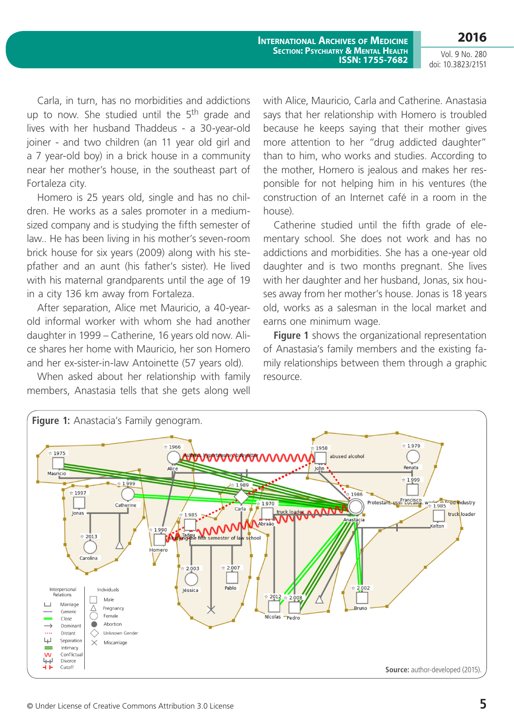**2016**

Vol. 9 No. 280 doi: 10.3823/2151

Carla, in turn, has no morbidities and addictions up to now. She studied until the 5<sup>th</sup> grade and lives with her husband Thaddeus - a 30-year-old joiner - and two children (an 11 year old girl and a 7 year-old boy) in a brick house in a community near her mother's house, in the southeast part of Fortaleza city.

Homero is 25 years old, single and has no children. He works as a sales promoter in a mediumsized company and is studying the fifth semester of law.. He has been living in his mother's seven-room brick house for six years (2009) along with his stepfather and an aunt (his father's sister). He lived with his maternal grandparents until the age of 19 in a city 136 km away from Fortaleza.

After separation, Alice met Mauricio, a 40-yearold informal worker with whom she had another daughter in 1999 – Catherine, 16 years old now. Alice shares her home with Mauricio, her son Homero and her ex-sister-in-law Antoinette (57 years old).

When asked about her relationship with family members, Anastasia tells that she gets along well with Alice, Mauricio, Carla and Catherine. Anastasia says that her relationship with Homero is troubled because he keeps saying that their mother gives more attention to her "drug addicted daughter" than to him, who works and studies. According to the mother, Homero is jealous and makes her responsible for not helping him in his ventures (the construction of an Internet café in a room in the house).

Catherine studied until the fifth grade of elementary school. She does not work and has no addictions and morbidities. She has a one-year old daughter and is two months pregnant. She lives with her daughter and her husband, Jonas, six houses away from her mother's house. Jonas is 18 years old, works as a salesman in the local market and earns one minimum wage.

**Figure 1** shows the organizational representation of Anastasia's family members and the existing family relationships between them through a graphic resource.

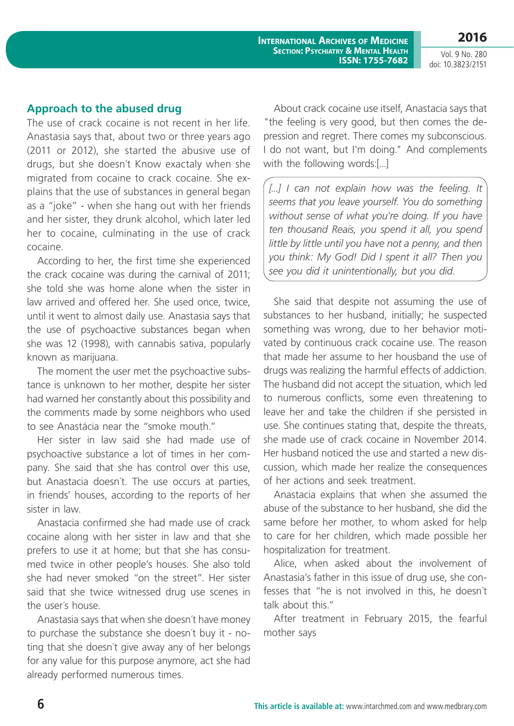**Section: Psychiatry & Mental Health ISSN: 1755-7682**

**International Archives of Medicine**

Vol. 9 No. 280 doi: 10.3823/2151

**2016**

### **Approach to the abused drug**

The use of crack cocaine is not recent in her life. Anastasia says that, about two or three years ago (2011 or 2012), she started the abusive use of drugs, but she doesn´t Know exactaly when she migrated from cocaine to crack cocaine. She explains that the use of substances in general began as a "joke" - when she hang out with her friends and her sister, they drunk alcohol, which later led her to cocaine, culminating in the use of crack cocaine.

According to her, the first time she experienced the crack cocaine was during the carnival of 2011; she told she was home alone when the sister in law arrived and offered her. She used once, twice, until it went to almost daily use. Anastasia says that the use of psychoactive substances began when she was 12 (1998), with cannabis sativa, popularly known as marijuana.

The moment the user met the psychoactive substance is unknown to her mother, despite her sister had warned her constantly about this possibility and the comments made by some neighbors who used to see Anastácia near the "smoke mouth."

Her sister in law said she had made use of psychoactive substance a lot of times in her company. She said that she has control over this use, but Anastacia doesn´t. The use occurs at parties, in friends' houses, according to the reports of her sister in law.

Anastacia confirmed she had made use of crack cocaine along with her sister in law and that she prefers to use it at home; but that she has consumed twice in other people's houses. She also told she had never smoked "on the street". Her sister said that she twice witnessed drug use scenes in the user´s house.

Anastasia says that when she doesn´t have money to purchase the substance she doesn´t buy it - noting that she doesn´t give away any of her belongs for any value for this purpose anymore, act she had already performed numerous times.

About crack cocaine use itself, Anastacia says that "the feeling is very good, but then comes the depression and regret. There comes my subconscious. I do not want, but I'm doing." And complements with the following words:[...]

[...] I can not explain how was the feeling. It *seems that you leave yourself. You do something without sense of what you're doing. If you have ten thousand Reais, you spend it all, you spend little by little until you have not a penny, and then you think: My God! Did I spent it all? Then you see you did it unintentionally, but you did.*

She said that despite not assuming the use of substances to her husband, initially; he suspected something was wrong, due to her behavior motivated by continuous crack cocaine use. The reason that made her assume to her housband the use of drugs was realizing the harmful effects of addiction. The husband did not accept the situation, which led to numerous conflicts, some even threatening to leave her and take the children if she persisted in use. She continues stating that, despite the threats, she made use of crack cocaine in November 2014. Her husband noticed the use and started a new discussion, which made her realize the consequences of her actions and seek treatment.

Anastacia explains that when she assumed the abuse of the substance to her husband, she did the same before her mother, to whom asked for help to care for her children, which made possible her hospitalization for treatment.

Alice, when asked about the involvement of Anastasia's father in this issue of drug use, she confesses that "he is not involved in this, he doesn´t talk about this."

After treatment in February 2015, the fearful mother says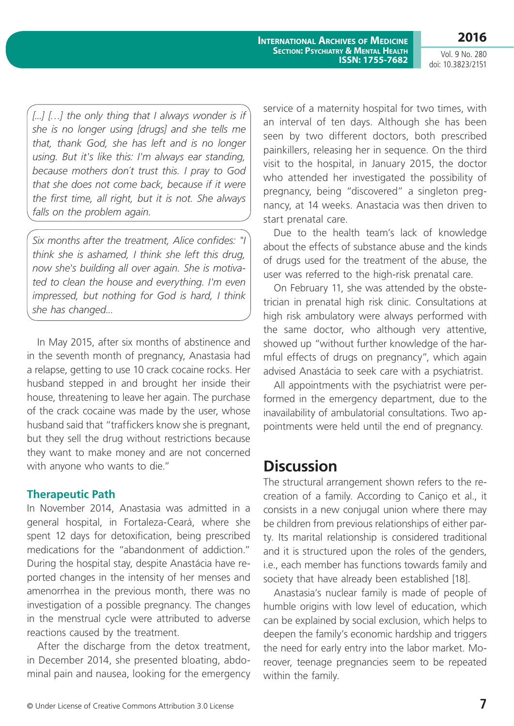**International Archives of Medicine Section: Psychiatry & Mental Health ISSN: 1755-7682**

Vol. 9 No. 280 doi: 10.3823/2151

**2016**

[...] [...] the only thing that I always wonder is if *she is no longer using [drugs] and she tells me that, thank God, she has left and is no longer using. But it's like this: I'm always ear standing, because mothers don´t trust this. I pray to God that she does not come back, because if it were the first time, all right, but it is not. She always falls on the problem again.*

*Six months after the treatment, Alice confides: "I think she is ashamed, I think she left this drug, now she's building all over again. She is motivated to clean the house and everything. I'm even impressed, but nothing for God is hard, I think she has changed...*

In May 2015, after six months of abstinence and in the seventh month of pregnancy, Anastasia had a relapse, getting to use 10 crack cocaine rocks. Her husband stepped in and brought her inside their house, threatening to leave her again. The purchase of the crack cocaine was made by the user, whose husband said that "traffickers know she is pregnant, but they sell the drug without restrictions because they want to make money and are not concerned with anyone who wants to die."

#### **Therapeutic Path**

In November 2014, Anastasia was admitted in a general hospital, in Fortaleza-Ceará, where she spent 12 days for detoxification, being prescribed medications for the "abandonment of addiction." During the hospital stay, despite Anastácia have reported changes in the intensity of her menses and amenorrhea in the previous month, there was no investigation of a possible pregnancy. The changes in the menstrual cycle were attributed to adverse reactions caused by the treatment.

After the discharge from the detox treatment, in December 2014, she presented bloating, abdominal pain and nausea, looking for the emergency

service of a maternity hospital for two times, with an interval of ten days. Although she has been seen by two different doctors, both prescribed painkillers, releasing her in sequence. On the third visit to the hospital, in January 2015, the doctor who attended her investigated the possibility of pregnancy, being "discovered" a singleton pregnancy, at 14 weeks. Anastacia was then driven to start prenatal care.

Due to the health team's lack of knowledge about the effects of substance abuse and the kinds of drugs used for the treatment of the abuse, the user was referred to the high-risk prenatal care.

On February 11, she was attended by the obstetrician in prenatal high risk clinic. Consultations at high risk ambulatory were always performed with the same doctor, who although very attentive, showed up "without further knowledge of the harmful effects of drugs on pregnancy", which again advised Anastácia to seek care with a psychiatrist.

All appointments with the psychiatrist were performed in the emergency department, due to the inavailability of ambulatorial consultations. Two appointments were held until the end of pregnancy.

### **Discussion**

The structural arrangement shown refers to the recreation of a family. According to Caniço et al., it consists in a new conjugal union where there may be children from previous relationships of either party. Its marital relationship is considered traditional and it is structured upon the roles of the genders, i.e., each member has functions towards family and society that have already been established [18].

Anastasia's nuclear family is made of people of humble origins with low level of education, which can be explained by social exclusion, which helps to deepen the family's economic hardship and triggers the need for early entry into the labor market. Moreover, teenage pregnancies seem to be repeated within the family.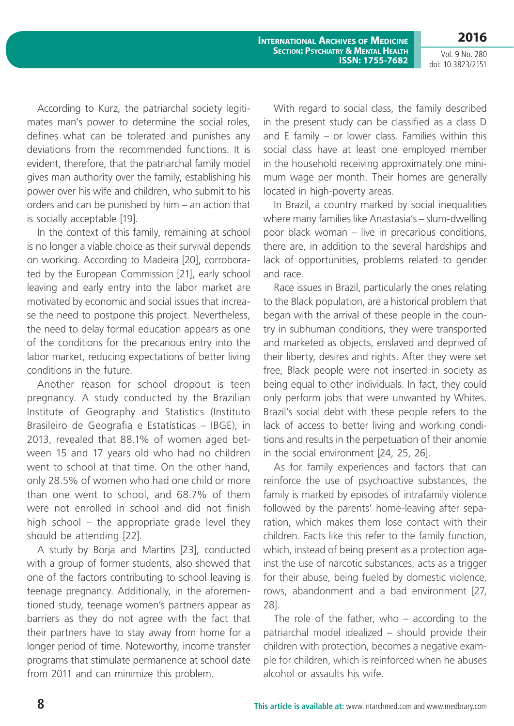**2016** Vol. 9 No. 280

doi: 10.3823/2151

According to Kurz, the patriarchal society legitimates man's power to determine the social roles, defines what can be tolerated and punishes any deviations from the recommended functions. It is evident, therefore, that the patriarchal family model gives man authority over the family, establishing his power over his wife and children, who submit to his orders and can be punished by him – an action that is socially acceptable [19].

In the context of this family, remaining at school is no longer a viable choice as their survival depends on working. According to Madeira [20], corroborated by the European Commission [21], early school leaving and early entry into the labor market are motivated by economic and social issues that increase the need to postpone this project. Nevertheless, the need to delay formal education appears as one of the conditions for the precarious entry into the labor market, reducing expectations of better living conditions in the future.

Another reason for school dropout is teen pregnancy. A study conducted by the Brazilian Institute of Geography and Statistics (Instituto Brasileiro de Geografia e Estatísticas – IBGE), in 2013, revealed that 88.1% of women aged between 15 and 17 years old who had no children went to school at that time. On the other hand, only 28.5% of women who had one child or more than one went to school, and 68.7% of them were not enrolled in school and did not finish high school – the appropriate grade level they should be attending [22].

A study by Borja and Martins [23], conducted with a group of former students, also showed that one of the factors contributing to school leaving is teenage pregnancy. Additionally, in the aforementioned study, teenage women's partners appear as barriers as they do not agree with the fact that their partners have to stay away from home for a longer period of time. Noteworthy, income transfer programs that stimulate permanence at school date from 2011 and can minimize this problem.

With regard to social class, the family described in the present study can be classified as a class D and E family – or lower class. Families within this social class have at least one employed member in the household receiving approximately one minimum wage per month. Their homes are generally located in high-poverty areas.

In Brazil, a country marked by social inequalities where many families like Anastasia's – slum-dwelling poor black woman – live in precarious conditions, there are, in addition to the several hardships and lack of opportunities, problems related to gender and race.

Race issues in Brazil, particularly the ones relating to the Black population, are a historical problem that began with the arrival of these people in the country in subhuman conditions, they were transported and marketed as objects, enslaved and deprived of their liberty, desires and rights. After they were set free, Black people were not inserted in society as being equal to other individuals. In fact, they could only perform jobs that were unwanted by Whites. Brazil's social debt with these people refers to the lack of access to better living and working conditions and results in the perpetuation of their anomie in the social environment [24, 25, 26].

As for family experiences and factors that can reinforce the use of psychoactive substances, the family is marked by episodes of intrafamily violence followed by the parents' home-leaving after separation, which makes them lose contact with their children. Facts like this refer to the family function, which, instead of being present as a protection against the use of narcotic substances, acts as a trigger for their abuse, being fueled by domestic violence, rows, abandonment and a bad environment [27, 28].

The role of the father, who  $-$  according to the patriarchal model idealized – should provide their children with protection, becomes a negative example for children, which is reinforced when he abuses alcohol or assaults his wife.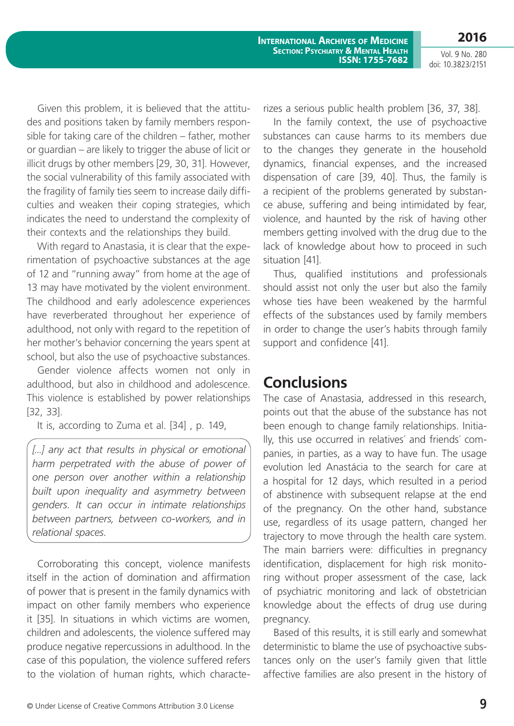Given this problem, it is believed that the attitudes and positions taken by family members responsible for taking care of the children – father, mother or guardian – are likely to trigger the abuse of licit or illicit drugs by other members [29, 30, 31]. However, the social vulnerability of this family associated with the fragility of family ties seem to increase daily difficulties and weaken their coping strategies, which indicates the need to understand the complexity of their contexts and the relationships they build.

With regard to Anastasia, it is clear that the experimentation of psychoactive substances at the age of 12 and "running away" from home at the age of 13 may have motivated by the violent environment. The childhood and early adolescence experiences have reverberated throughout her experience of adulthood, not only with regard to the repetition of her mother's behavior concerning the years spent at school, but also the use of psychoactive substances.

Gender violence affects women not only in adulthood, but also in childhood and adolescence. This violence is established by power relationships [32, 33].

It is, according to Zuma et al. [34] , p. 149,

[...] any act that results in physical or emotional *harm perpetrated with the abuse of power of one person over another within a relationship built upon inequality and asymmetry between genders. It can occur in intimate relationships between partners, between co-workers, and in relational spaces.*

Corroborating this concept, violence manifests itself in the action of domination and affirmation of power that is present in the family dynamics with impact on other family members who experience it [35]. In situations in which victims are women, children and adolescents, the violence suffered may produce negative repercussions in adulthood. In the case of this population, the violence suffered refers to the violation of human rights, which characterizes a serious public health problem [36, 37, 38].

In the family context, the use of psychoactive substances can cause harms to its members due to the changes they generate in the household dynamics, financial expenses, and the increased dispensation of care [39, 40]. Thus, the family is a recipient of the problems generated by substance abuse, suffering and being intimidated by fear, violence, and haunted by the risk of having other members getting involved with the drug due to the lack of knowledge about how to proceed in such situation [41].

Thus, qualified institutions and professionals should assist not only the user but also the family whose ties have been weakened by the harmful effects of the substances used by family members in order to change the user's habits through family support and confidence [41].

### **Conclusions**

The case of Anastasia, addressed in this research, points out that the abuse of the substance has not been enough to change family relationships. Initially, this use occurred in relatives´ and friends´ companies, in parties, as a way to have fun. The usage evolution led Anastácia to the search for care at a hospital for 12 days, which resulted in a period of abstinence with subsequent relapse at the end of the pregnancy. On the other hand, substance use, regardless of its usage pattern, changed her trajectory to move through the health care system. The main barriers were: difficulties in pregnancy identification, displacement for high risk monitoring without proper assessment of the case, lack of psychiatric monitoring and lack of obstetrician knowledge about the effects of drug use during pregnancy.

Based of this results, it is still early and somewhat deterministic to blame the use of psychoactive substances only on the user's family given that little affective families are also present in the history of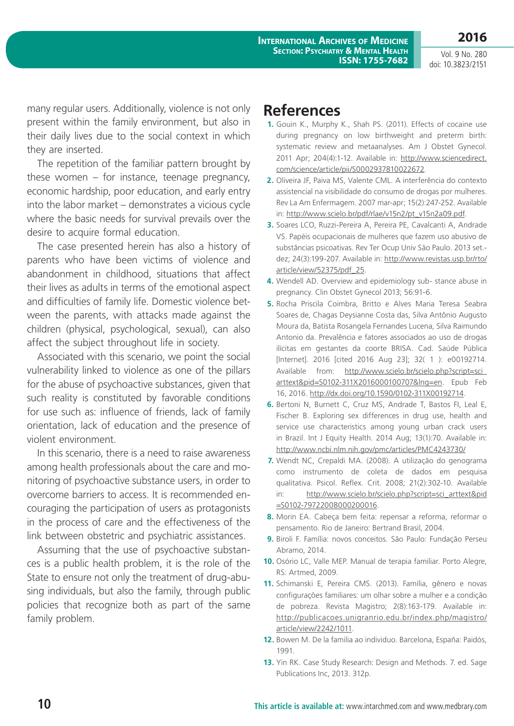**2016**

many regular users. Additionally, violence is not only present within the family environment, but also in their daily lives due to the social context in which they are inserted.

The repetition of the familiar pattern brought by these women – for instance, teenage pregnancy, economic hardship, poor education, and early entry into the labor market – demonstrates a vicious cycle where the basic needs for survival prevails over the desire to acquire formal education.

The case presented herein has also a history of parents who have been victims of violence and abandonment in childhood, situations that affect their lives as adults in terms of the emotional aspect and difficulties of family life. Domestic violence between the parents, with attacks made against the children (physical, psychological, sexual), can also affect the subject throughout life in society.

Associated with this scenario, we point the social vulnerability linked to violence as one of the pillars for the abuse of psychoactive substances, given that such reality is constituted by favorable conditions for use such as: influence of friends, lack of family orientation, lack of education and the presence of violent environment.

In this scenario, there is a need to raise awareness among health professionals about the care and monitoring of psychoactive substance users, in order to overcome barriers to access. It is recommended encouraging the participation of users as protagonists in the process of care and the effectiveness of the link between obstetric and psychiatric assistances.

Assuming that the use of psychoactive substances is a public health problem, it is the role of the State to ensure not only the treatment of drug-abusing individuals, but also the family, through public policies that recognize both as part of the same family problem.

### **References**

- **1.** Gouin K., Murphy K., Shah PS. (2011). Effects of cocaine use during pregnancy on low birthweight and preterm birth: systematic review and metaanalyses. Am J Obstet Gynecol. 2011 Apr; 204(4):1-12. Available in: http://www.sciencedirect. com/science/article/pii/S0002937810022672.
- **2.** Oliveira JF, Paiva MS, Valente CML. A interferência do contexto assistencial na visibilidade do consumo de drogas por mulheres. Rev La Am Enfermagem. 2007 mar-apr; 15(2):247-252. Available in: http://www.scielo.br/pdf/rlae/v15n2/pt\_v15n2a09.pdf.
- **3.** Soares LCO, Ruzzi-Pereira A, Pereira PE, Cavalcanti A, Andrade VS. Papéis ocupacionais de mulheres que fazem uso abusivo de substâncias psicoativas. Rev Ter Ocup Univ São Paulo. 2013 set. dez; 24(3):199-207. Available in: http://www.revistas.usp.br/rto/ article/view/52375/pdf\_25.
- **4.** Wendell AD. Overview and epidemiology sub- stance abuse in pregnancy. Clin Obstet Gynecol 2013; 56:91-6.
- **5.** Rocha Priscila Coimbra, Britto e Alves Maria Teresa Seabra Soares de, Chagas Deysianne Costa das, Silva Antônio Augusto Moura da, Batista Rosangela Fernandes Lucena, Silva Raimundo Antonio da. Prevalência e fatores associados ao uso de drogas ilícitas em gestantes da coorte BRISA. Cad. Saúde Pública [Internet]. 2016 [cited 2016 Aug 23]; 32( 1 ): e00192714. Available from: http://www.scielo.br/scielo.php?script=sci\_ arttext&pid=S0102-311X2016000100707&lng=en. Epub Feb 16, 2016. http://dx.doi.org/10.1590/0102-311X00192714.
- **6.** Bertoni N, Burnett C, Cruz MS, Andrade T, Bastos FI, Leal E, Fischer B. Exploring sex differences in drug use, health and service use characteristics among young urban crack users in Brazil. Int J Equity Health. 2014 Aug; 13(1):70. Available in: http://www.ncbi.nlm.nih.gov/pmc/articles/PMC4243730/
- **7.** Wendt NC, Crepaldi MA. (2008). A utilização do genograma como instrumento de coleta de dados em pesquisa qualitativa. Psicol. Reflex. Crit. 2008; 21(2):302-10. Available in: http://www.scielo.br/scielo.php?script=sci\_arttext&pid =S0102-79722008000200016.
- **8.** Morin EA. Cabeça bem feita: repensar a reforma, reformar o pensamento. Rio de Janeiro: Bertrand Brasil, 2004.
- **9.** Biroli F. Família: novos conceitos. São Paulo: Fundação Perseu Abramo, 2014.
- **10.** Osório LC, Valle MEP. Manual de terapia familiar. Porto Alegre, RS: Artmed, 2009.
- **11.** Schimanski E, Pereira CMS. (2013). Família, gênero e novas configurações familiares: um olhar sobre a mulher e a condição de pobreza. Revista Magistro; 2(8):163-179. Available in: http://publicacoes.unigranrio.edu.br/index.php/magistro/ article/view/2242/1011.
- **12.** Bowen M. De la familia ao individuo. Barcelona, España: Paidós, 1991.
- **13.** Yin RK. Case Study Research: Design and Methods. 7. ed. Sage Publications Inc, 2013. 312p.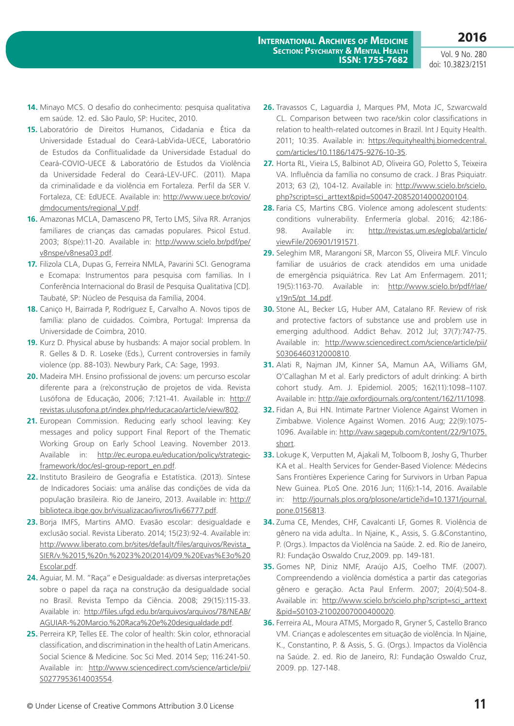- **14.** Minayo MCS. O desafio do conhecimento: pesquisa qualitativa em saúde. 12. ed. São Paulo, SP: Hucitec, 2010.
- **15.** Laboratório de Direitos Humanos, Cidadania e Ética da Universidade Estadual do Ceará-LabVida-UECE, Laboratório de Estudos da Conflitualidade da Universidade Estadual do Ceará-COVIO-UECE & Laboratório de Estudos da Violência da Universidade Federal do Ceará-LEV-UFC. (2011). Mapa da criminalidade e da violência em Fortaleza. Perfil da SER V. Fortaleza, CE: EdUECE. Available in: http://www.uece.br/covio/ dmdocuments/regional\_V.pdf.
- **16.** Amazonas MCLA, Damasceno PR, Terto LMS, Silva RR. Arranjos familiares de crianças das camadas populares. Psicol Estud. 2003; 8(spe):11-20. Available in: http://www.scielo.br/pdf/pe/ v8nspe/v8nesa03.pdf.
- **17.** Filizola CLA, Dupas G, Ferreira NMLA, Pavarini SCI. Genograma e Ecomapa: Instrumentos para pesquisa com famílias. In I Conferência Internacional do Brasil de Pesquisa Qualitativa [CD]. Taubaté, SP: Núcleo de Pesquisa da Família, 2004.
- **18.** Caniço H, Bairrada P, Rodríguez E, Carvalho A. Novos tipos de família: plano de cuidados. Coimbra, Portugal: Imprensa da Universidade de Coimbra, 2010.
- **19.** Kurz D. Physical abuse by husbands: A major social problem. In R. Gelles & D. R. Loseke (Eds.), Current controversies in family violence (pp. 88-103). Newbury Park, CA: Sage, 1993.
- **20.** Madeira MH. Ensino profissional de jovens: um percurso escolar diferente para a (re)construção de projetos de vida. Revista Lusófona de Educação, 2006; 7:121-41. Available in: http:// revistas.ulusofona.pt/index.php/rleducacao/article/view/802.
- **21.** European Commission. Reducing early school leaving: Key messages and policy support Final Report of the Thematic Working Group on Early School Leaving. November 2013. Available in: http://ec.europa.eu/education/policy/strategicframework/doc/esl-group-report\_en.pdf.
- **22.** Instituto Brasileiro de Geografia e Estatística. (2013). Síntese de Indicadores Sociais: uma análise das condições de vida da população brasileira. Rio de Janeiro, 2013. Available in: http:// biblioteca.ibge.gov.br/visualizacao/livros/liv66777.pdf.
- **23.** Borja IMFS, Martins AMO. Evasão escolar: desigualdade e exclusão social. Revista Liberato. 2014; 15(23):92-4. Available in: http://www.liberato.com.br/sites/default/files/arquivos/Revista\_ SIER/v.%2015,%20n.%2023%20(2014)/09.%20Evas%E3o%20 Escolar.pdf.
- **24.** Aguiar, M. M. "Raça" e Desigualdade: as diversas interpretações sobre o papel da raça na construção da desigualdade social no Brasil. Revista Tempo da Ciência. 2008; 29(15):115-33. Available in: http://files.ufgd.edu.br/arquivos/arquivos/78/NEAB/ AGUIAR-%20Marcio.%20Raca%20e%20desigualdade.pdf.
- **25.** Perreira KP, Telles EE. The color of health: Skin color, ethnoracial classification, and discrimination in the health of Latin Americans. Social Science & Medicine. Soc Sci Med. 2014 Sep; 116:241-50. Available in: http://www.sciencedirect.com/science/article/pii/ S0277953614003554.
- **26.** Travassos C, Laguardia J, Marques PM, Mota JC, Szwarcwald CL. Comparison between two race/skin color classifications in relation to health-related outcomes in Brazil. Int J Equity Health. 2011; 10:35. Available in: https://equityhealthj.biomedcentral. com/articles/10.1186/1475-9276-10-35.
- **27.** Horta RL, Vieira LS, Balbinot AD, Oliveira GO, Poletto S, Teixeira VA. Influência da família no consumo de crack. J Bras Psiquiatr. 2013; 63 (2), 104-12. Available in: http://www.scielo.br/scielo. php?script=sci\_arttext&pid=S0047-20852014000200104.
- **28.** Faria CS, Martins CBG. Violence among adolescent students: conditions vulnerability. Enfermería global. 2016; 42:186- 98. Available in: http://revistas.um.es/eglobal/article/ viewFile/206901/191571.
- **29.** Seleghim MR, Marangoni SR, Marcon SS, Oliveira MLF. Vínculo familiar de usuários de crack atendidos em uma unidade de emergência psiquiátrica. Rev Lat Am Enfermagem. 2011; 19(5):1163-70. Available in: http://www.scielo.br/pdf/rlae/ v19n5/pt\_14.pdf.
- **30.** Stone AL, Becker LG, Huber AM, Catalano RF. Review of risk and protective factors of substance use and problem use in emerging adulthood. Addict Behav. 2012 Jul; 37(7):747-75. Available in: http://www.sciencedirect.com/science/article/pii/ S0306460312000810.
- **31.** Alati R, Najman JM, Kinner SA, Mamun AA, Williams GM, O'Callaghan M et al. Early predictors of adult drinking: A birth cohort study. Am. J. Epidemiol. 2005; 162(11):1098–1107. Available in: http://aje.oxfordjournals.org/content/162/11/1098.
- **32.** Fidan A, Bui HN. Intimate Partner Violence Against Women in Zimbabwe. Violence Against Women. 2016 Aug; 22(9):1075- 1096. Available in: http://vaw.sagepub.com/content/22/9/1075. short.
- **33.** Lokuge K, Verputten M, Ajakali M, Tolboom B, Joshy G, Thurber KA et al.. Health Services for Gender-Based Violence: Médecins Sans Frontières Experience Caring for Survivors in Urban Papua New Guinea. PLoS One. 2016 Jun; 11(6):1-14, 2016. Available in: http://journals.plos.org/plosone/article?id=10.1371/journal. pone.0156813.
- **34.** Zuma CE, Mendes, CHF, Cavalcanti LF, Gomes R. Violência de gênero na vida adulta.. In Njaine, K., Assis, S. G.&Constantino, P. (Orgs.). Impactos da Violência na Saúde. 2. ed. Rio de Janeiro, RJ: Fundação Oswaldo Cruz,2009. pp. 149-181.
- **35.** Gomes NP, Diniz NMF, Araújo AJS, Coelho TMF. (2007). Compreendendo a violência doméstica a partir das categorias gênero e geração. Acta Paul Enferm. 2007; 20(4):504-8. Available in: http://www.scielo.br/scielo.php?script=sci\_arttext &pid=S0103-21002007000400020.
- **36.** Ferreira AL, Moura ATMS, Morgado R, Gryner S, Castello Branco VM. Crianças e adolescentes em situação de violência. In Njaine, K., Constantino, P. & Assis, S. G. (Orgs.). Impactos da Violência na Saúde. 2. ed. Rio de Janeiro, RJ: Fundação Oswaldo Cruz, 2009. pp. 127-148.